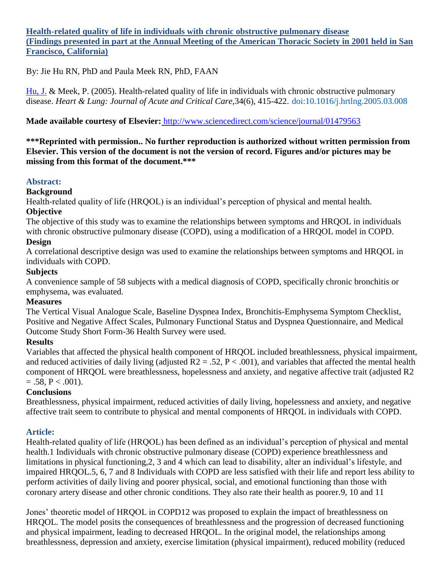#### **Health-related quality of life in individuals with chronic obstructive pulmonary disease (Findings presented in part at the Annual Meeting of the American Thoracic Society in 2001 held in San Francisco, California)**

By: Jie Hu RN, PhD and Paula Meek RN, PhD, FAAN

[Hu, J.](http://libres.uncg.edu/ir/uncg/clist.aspx?id=1642) & Meek, P. (2005). Health-related quality of life in individuals with chronic obstructive pulmonary disease. *Heart & Lung: Journal of Acute and Critical Care,*34(6), 415-422. [doi:10.1016/j.hrtlng.2005.03.008](http://dx.doi.org/10.1016/j.hrtlng.2005.03.008)

## **Made available courtesy of Elsevier:** <http://www.sciencedirect.com/science/journal/01479563>

**\*\*\*Reprinted with permission.. No further reproduction is authorized without written permission from Elsevier. This version of the document is not the version of record. Figures and/or pictures may be missing from this format of the document.\*\*\***

## **Abstract:**

## **Background**

Health-related quality of life (HRQOL) is an individual's perception of physical and mental health.

## **Objective**

The objective of this study was to examine the relationships between symptoms and HRQOL in individuals with chronic obstructive pulmonary disease (COPD), using a modification of a HRQOL model in COPD.

## **Design**

A correlational descriptive design was used to examine the relationships between symptoms and HRQOL in individuals with COPD.

## **Subjects**

A convenience sample of 58 subjects with a medical diagnosis of COPD, specifically chronic bronchitis or emphysema, was evaluated.

## **Measures**

The Vertical Visual Analogue Scale, Baseline Dyspnea Index, Bronchitis-Emphysema Symptom Checklist, Positive and Negative Affect Scales, Pulmonary Functional Status and Dyspnea Questionnaire, and Medical Outcome Study Short Form-36 Health Survey were used.

# **Results**

Variables that affected the physical health component of HRQOL included breathlessness, physical impairment, and reduced activities of daily living (adjusted  $R2 = .52$ ,  $P < .001$ ), and variables that affected the mental health component of HRQOL were breathlessness, hopelessness and anxiety, and negative affective trait (adjusted R2  $= .58, P < .001$ ).

# **Conclusions**

Breathlessness, physical impairment, reduced activities of daily living, hopelessness and anxiety, and negative affective trait seem to contribute to physical and mental components of HRQOL in individuals with COPD.

## **Article:**

Health-related quality of life (HRQOL) has been defined as an individual's perception of physical and mental health.1 Individuals with chronic obstructive pulmonary disease (COPD) experience breathlessness and limitations in physical functioning,2, 3 and 4 which can lead to disability, alter an individual's lifestyle, and impaired HRQOL.5, 6, 7 and 8 Individuals with COPD are less satisfied with their life and report less ability to perform activities of daily living and poorer physical, social, and emotional functioning than those with coronary artery disease and other chronic conditions. They also rate their health as poorer.9, 10 and 11

Jones' theoretic model of HRQOL in COPD12 was proposed to explain the impact of breathlessness on HRQOL. The model posits the consequences of breathlessness and the progression of decreased functioning and physical impairment, leading to decreased HRQOL. In the original model, the relationships among breathlessness, depression and anxiety, exercise limitation (physical impairment), reduced mobility (reduced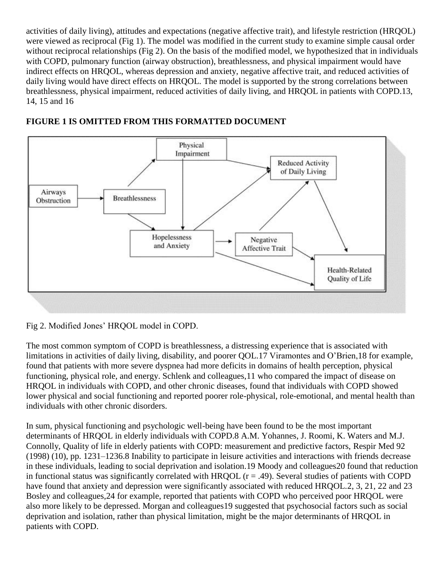activities of daily living), attitudes and expectations (negative affective trait), and lifestyle restriction (HRQOL) were viewed as reciprocal (Fig 1). The model was modified in the current study to examine simple causal order without reciprocal relationships (Fig 2). On the basis of the modified model, we hypothesized that in individuals with COPD, pulmonary function (airway obstruction), breathlessness, and physical impairment would have indirect effects on HRQOL, whereas depression and anxiety, negative affective trait, and reduced activities of daily living would have direct effects on HRQOL. The model is supported by the strong correlations between breathlessness, physical impairment, reduced activities of daily living, and HRQOL in patients with COPD.13, 14, 15 and 16





The most common symptom of COPD is breathlessness, a distressing experience that is associated with limitations in activities of daily living, disability, and poorer QOL.17 Viramontes and O'Brien,18 for example, found that patients with more severe dyspnea had more deficits in domains of health perception, physical functioning, physical role, and energy. Schlenk and colleagues,11 who compared the impact of disease on HRQOL in individuals with COPD, and other chronic diseases, found that individuals with COPD showed lower physical and social functioning and reported poorer role-physical, role-emotional, and mental health than individuals with other chronic disorders.

In sum, physical functioning and psychologic well-being have been found to be the most important determinants of HRQOL in elderly individuals with COPD.8 A.M. Yohannes, J. Roomi, K. Waters and M.J. Connolly, Quality of life in elderly patients with COPD: measurement and predictive factors, Respir Med 92 (1998) (10), pp. 1231–1236.8 Inability to participate in leisure activities and interactions with friends decrease in these individuals, leading to social deprivation and isolation.19 Moody and colleagues20 found that reduction in functional status was significantly correlated with HROOL  $(r = .49)$ . Several studies of patients with COPD have found that anxiety and depression were significantly associated with reduced HRQOL.2, 3, 21, 22 and 23 Bosley and colleagues,24 for example, reported that patients with COPD who perceived poor HRQOL were also more likely to be depressed. Morgan and colleagues19 suggested that psychosocial factors such as social deprivation and isolation, rather than physical limitation, might be the major determinants of HRQOL in patients with COPD.

Fig 2. Modified Jones' HRQOL model in COPD.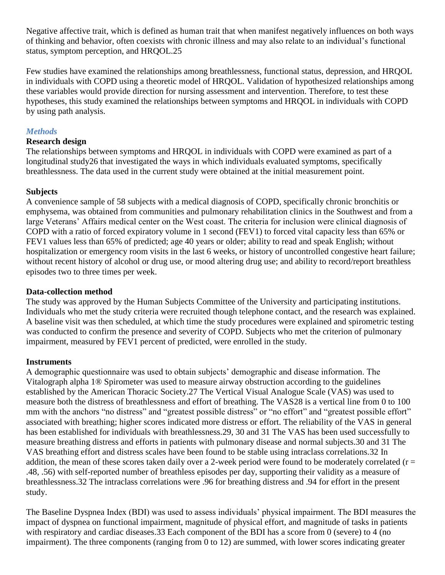Negative affective trait, which is defined as human trait that when manifest negatively influences on both ways of thinking and behavior, often coexists with chronic illness and may also relate to an individual's functional status, symptom perception, and HRQOL.25

Few studies have examined the relationships among breathlessness, functional status, depression, and HRQOL in individuals with COPD using a theoretic model of HRQOL. Validation of hypothesized relationships among these variables would provide direction for nursing assessment and intervention. Therefore, to test these hypotheses, this study examined the relationships between symptoms and HRQOL in individuals with COPD by using path analysis.

## *Methods*

## **Research design**

The relationships between symptoms and HRQOL in individuals with COPD were examined as part of a longitudinal study26 that investigated the ways in which individuals evaluated symptoms, specifically breathlessness. The data used in the current study were obtained at the initial measurement point.

#### **Subjects**

A convenience sample of 58 subjects with a medical diagnosis of COPD, specifically chronic bronchitis or emphysema, was obtained from communities and pulmonary rehabilitation clinics in the Southwest and from a large Veterans' Affairs medical center on the West coast. The criteria for inclusion were clinical diagnosis of COPD with a ratio of forced expiratory volume in 1 second (FEV1) to forced vital capacity less than 65% or FEV1 values less than 65% of predicted; age 40 years or older; ability to read and speak English; without hospitalization or emergency room visits in the last 6 weeks, or history of uncontrolled congestive heart failure; without recent history of alcohol or drug use, or mood altering drug use; and ability to record/report breathless episodes two to three times per week.

#### **Data-collection method**

The study was approved by the Human Subjects Committee of the University and participating institutions. Individuals who met the study criteria were recruited though telephone contact, and the research was explained. A baseline visit was then scheduled, at which time the study procedures were explained and spirometric testing was conducted to confirm the presence and severity of COPD. Subjects who met the criterion of pulmonary impairment, measured by FEV1 percent of predicted, were enrolled in the study.

#### **Instruments**

A demographic questionnaire was used to obtain subjects' demographic and disease information. The Vitalograph alpha 1® Spirometer was used to measure airway obstruction according to the guidelines established by the American Thoracic Society.27 The Vertical Visual Analogue Scale (VAS) was used to measure both the distress of breathlessness and effort of breathing. The VAS28 is a vertical line from 0 to 100 mm with the anchors "no distress" and "greatest possible distress" or "no effort" and "greatest possible effort" associated with breathing; higher scores indicated more distress or effort. The reliability of the VAS in general has been established for individuals with breathlessness.29, 30 and 31 The VAS has been used successfully to measure breathing distress and efforts in patients with pulmonary disease and normal subjects.30 and 31 The VAS breathing effort and distress scales have been found to be stable using intraclass correlations.32 In addition, the mean of these scores taken daily over a 2-week period were found to be moderately correlated ( $r =$ .48, .56) with self-reported number of breathless episodes per day, supporting their validity as a measure of breathlessness.32 The intraclass correlations were .96 for breathing distress and .94 for effort in the present study.

The Baseline Dyspnea Index (BDI) was used to assess individuals' physical impairment. The BDI measures the impact of dyspnea on functional impairment, magnitude of physical effort, and magnitude of tasks in patients with respiratory and cardiac diseases.33 Each component of the BDI has a score from 0 (severe) to 4 (no impairment). The three components (ranging from 0 to 12) are summed, with lower scores indicating greater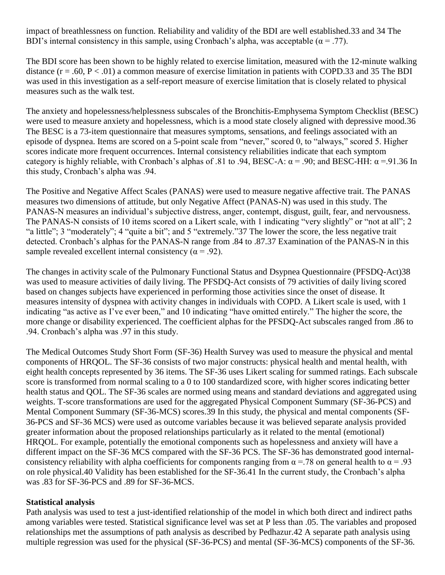impact of breathlessness on function. Reliability and validity of the BDI are well established.33 and 34 The BDI's internal consistency in this sample, using Cronbach's alpha, was acceptable ( $\alpha$  = .77).

The BDI score has been shown to be highly related to exercise limitation, measured with the 12-minute walking distance  $(r = .60, P < .01)$  a common measure of exercise limitation in patients with COPD.33 and 35 The BDI was used in this investigation as a self-report measure of exercise limitation that is closely related to physical measures such as the walk test.

The anxiety and hopelessness/helplessness subscales of the Bronchitis-Emphysema Symptom Checklist (BESC) were used to measure anxiety and hopelessness, which is a mood state closely aligned with depressive mood.36 The BESC is a 73-item questionnaire that measures symptoms, sensations, and feelings associated with an episode of dyspnea. Items are scored on a 5-point scale from "never," scored 0, to "always," scored 5. Higher scores indicate more frequent occurrences. Internal consistency reliabilities indicate that each symptom category is highly reliable, with Cronbach's alphas of .81 to .94, BESC-A:  $\alpha$  = .90; and BESC-HH:  $\alpha$  = .91.36 In this study, Cronbach's alpha was .94.

The Positive and Negative Affect Scales (PANAS) were used to measure negative affective trait. The PANAS measures two dimensions of attitude, but only Negative Affect (PANAS-N) was used in this study. The PANAS-N measures an individual's subjective distress, anger, contempt, disgust, guilt, fear, and nervousness. The PANAS-N consists of 10 items scored on a Likert scale, with 1 indicating "very slightly" or "not at all"; 2 "a little"; 3 "moderately"; 4 "quite a bit"; and 5 "extremely." 37 The lower the score, the less negative trait detected. Cronbach's alphas for the PANAS-N range from .84 to .87.37 Examination of the PANAS-N in this sample revealed excellent internal consistency ( $\alpha$  = .92).

The changes in activity scale of the Pulmonary Functional Status and Dsypnea Questionnaire (PFSDQ-Act)38 was used to measure activities of daily living. The PFSDQ-Act consists of 79 activities of daily living scored based on changes subjects have experienced in performing those activities since the onset of disease. It measures intensity of dyspnea with activity changes in individuals with COPD. A Likert scale is used, with 1 indicating "as active as I've ever been," and 10 indicating "have omitted entirely." The higher the score, the more change or disability experienced. The coefficient alphas for the PFSDQ-Act subscales ranged from .86 to .94. Cronbach's alpha was .97 in this study.

The Medical Outcomes Study Short Form (SF-36) Health Survey was used to measure the physical and mental components of HRQOL. The SF-36 consists of two major constructs: physical health and mental health, with eight health concepts represented by 36 items. The SF-36 uses Likert scaling for summed ratings. Each subscale score is transformed from normal scaling to a 0 to 100 standardized score, with higher scores indicating better health status and QOL. The SF-36 scales are normed using means and standard deviations and aggregated using weights. T-score transformations are used for the aggregated Physical Component Summary (SF-36-PCS) and Mental Component Summary (SF-36-MCS) scores.39 In this study, the physical and mental components (SF-36-PCS and SF-36 MCS) were used as outcome variables because it was believed separate analysis provided greater information about the proposed relationships particularly as it related to the mental (emotional) HRQOL. For example, potentially the emotional components such as hopelessness and anxiety will have a different impact on the SF-36 MCS compared with the SF-36 PCS. The SF-36 has demonstrated good internalconsistency reliability with alpha coefficients for components ranging from  $\alpha = .78$  on general health to  $\alpha = .93$ on role physical.40 Validity has been established for the SF-36.41 In the current study, the Cronbach's alpha was .83 for SF-36-PCS and .89 for SF-36-MCS.

## **Statistical analysis**

Path analysis was used to test a just-identified relationship of the model in which both direct and indirect paths among variables were tested. Statistical significance level was set at P less than .05. The variables and proposed relationships met the assumptions of path analysis as described by Pedhazur.42 A separate path analysis using multiple regression was used for the physical (SF-36-PCS) and mental (SF-36-MCS) components of the SF-36.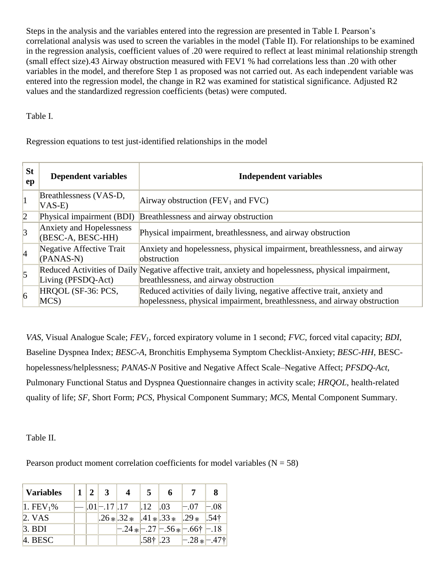Steps in the analysis and the variables entered into the regression are presented in Table I. Pearson's correlational analysis was used to screen the variables in the model (Table II). For relationships to be examined in the regression analysis, coefficient values of .20 were required to reflect at least minimal relationship strength (small effect size).43 Airway obstruction measured with FEV1 % had correlations less than .20 with other variables in the model, and therefore Step 1 as proposed was not carried out. As each independent variable was entered into the regression model, the change in R2 was examined for statistical significance. Adjusted R2 values and the standardized regression coefficients (betas) were computed.

Table I.

Regression equations to test just-identified relationships in the model

| <b>St</b><br>ep | <b>Dependent variables</b>                    | <b>Independent variables</b>                                                                         |  |  |  |  |
|-----------------|-----------------------------------------------|------------------------------------------------------------------------------------------------------|--|--|--|--|
| $\vert$         | Breathlessness (VAS-D,<br>$VAS-E$             | Airway obstruction (FEV <sub>1</sub> and FVC)                                                        |  |  |  |  |
| $ 2\rangle$     | Physical impairment (BDI)                     | Breathlessness and airway obstruction                                                                |  |  |  |  |
| $\vert 3 \vert$ | Anxiety and Hopelessness<br>(BESC-A, BESC-HH) | Physical impairment, breathlessness, and airway obstruction                                          |  |  |  |  |
| $\vert 4 \vert$ | Negative Affective Trait<br>$(PANAS-N)$       | Anxiety and hopelessness, physical impairment, breathlessness, and airway<br>obstruction             |  |  |  |  |
| $\overline{5}$  |                                               | Reduced Activities of Daily Negative affective trait, anxiety and hopelessness, physical impairment, |  |  |  |  |
|                 | Living (PFSDQ-Act)                            | breathlessness, and airway obstruction                                                               |  |  |  |  |
| $\overline{6}$  | HRQOL (SF-36: PCS,                            | Reduced activities of daily living, negative affective trait, anxiety and                            |  |  |  |  |
|                 | MCS                                           | hopelessness, physical impairment, breathlessness, and airway obstruction                            |  |  |  |  |

*VAS*, Visual Analogue Scale; *FEV1*, forced expiratory volume in 1 second; *FVC*, forced vital capacity; *BDI*, Baseline Dyspnea Index; *BESC-A*, Bronchitis Emphysema Symptom Checklist-Anxiety; *BESC-HH*, BESChopelessness/helplessness; *PANAS-N* Positive and Negative Affect Scale–Negative Affect; *PFSDQ-Act*, Pulmonary Functional Status and Dyspnea Questionnaire changes in activity scale; *HRQOL*, health-related quality of life; *SF*, Short Form; *PCS*, Physical Component Summary; *MCS*, Mental Component Summary.

Table II.

Pearson product moment correlation coefficients for model variables  $(N = 58)$ 

| <b>Variables</b>              |  | $1\vert 2\vert 3$  | 5                |                                           |                | 8    |
|-------------------------------|--|--------------------|------------------|-------------------------------------------|----------------|------|
| $\vert 1.$ FEV <sub>1</sub> % |  | $ .01$ – 17 $ .17$ | $.12$ $.03$      |                                           | -.07           | - 08 |
| 2. <i>VAS</i>                 |  |                    |                  | $.26*$ $.32*$ $.41*$ $.33*$ $.29*$ $.54*$ |                |      |
| $3.$ BDI                      |  |                    |                  | $-.24$ $\ast$ -.27 -.56 $\ast$ -.66† -.18 |                |      |
| 4. BESC                       |  |                    | $.58\dagger$ .23 |                                           | $-.28$ $+-.47$ |      |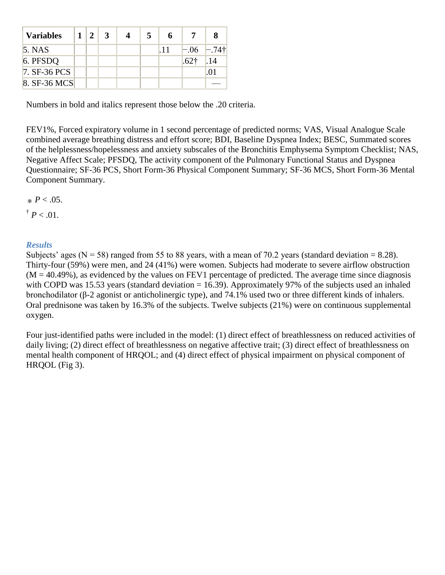| <b>Variables</b> | $\mathbf{2}$ | 3 | 5 | 6 |                  |          |
|------------------|--------------|---|---|---|------------------|----------|
| $5. NAS$         |              |   |   |   | -.06             | $-74$ tl |
| 6. PFSDQ         |              |   |   |   | .62 <sup>†</sup> | .14      |
| 7. SF-36 PCS     |              |   |   |   |                  |          |
| 8. SF-36 MCS     |              |   |   |   |                  |          |

Numbers in bold and italics represent those below the .20 criteria.

FEV1%, Forced expiratory volume in 1 second percentage of predicted norms; VAS, Visual Analogue Scale combined average breathing distress and effort score; BDI, Baseline Dyspnea Index; BESC, Summated scores of the helplessness/hopelessness and anxiety subscales of the Bronchitis Emphysema Symptom Checklist; NAS, Negative Affect Scale; PFSDQ, The activity component of the Pulmonary Functional Status and Dyspnea Questionnaire; SF-36 PCS, Short Form-36 Physical Component Summary; SF-36 MCS, Short Form-36 Mental Component Summary.

 $P < .05$ .

 $^{\dagger} P < .01$ .

#### *Results*

Subjects' ages ( $N = 58$ ) ranged from 55 to 88 years, with a mean of 70.2 years (standard deviation = 8.28). Thirty-four (59%) were men, and 24 (41%) were women. Subjects had moderate to severe airflow obstruction  $(M = 40.49\%)$ , as evidenced by the values on FEV1 percentage of predicted. The average time since diagnosis with COPD was 15.53 years (standard deviation  $= 16.39$ ). Approximately 97% of the subjects used an inhaled bronchodilator (β-2 agonist or anticholinergic type), and 74.1% used two or three different kinds of inhalers. Oral prednisone was taken by 16.3% of the subjects. Twelve subjects (21%) were on continuous supplemental oxygen.

Four just-identified paths were included in the model: (1) direct effect of breathlessness on reduced activities of daily living; (2) direct effect of breathlessness on negative affective trait; (3) direct effect of breathlessness on mental health component of HRQOL; and (4) direct effect of physical impairment on physical component of HRQOL (Fig 3).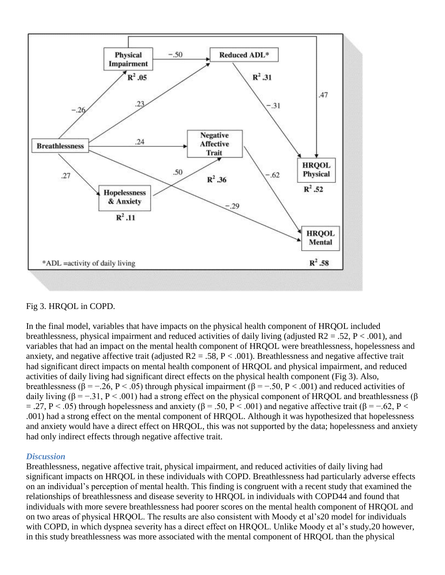

#### Fig 3. HRQOL in COPD.

In the final model, variables that have impacts on the physical health component of HRQOL included breathlessness, physical impairment and reduced activities of daily living (adjusted  $R2 = .52$ ,  $P < .001$ ), and variables that had an impact on the mental health component of HRQOL were breathlessness, hopelessness and anxiety, and negative affective trait (adjusted  $R2 = .58$ ,  $P < .001$ ). Breathlessness and negative affective trait had significant direct impacts on mental health component of HRQOL and physical impairment, and reduced activities of daily living had significant direct effects on the physical health component [\(Fig 3\)](http://www.sciencedirect.com/science?_ob=ArticleURL&_udi=B6WG7-4HP9BHK-F&_user=628623&_coverDate=12%2F31%2F2005&_rdoc=13&_fmt=high&_orig=browse&_origin=browse&_zone=rslt_list_item&_srch=doc-info(%23toc%236815%232005%23999659993%23612538%23FLA%23display%23Volume)&_cdi=6815&_sort=d&_docanchor=&_ct=21&_acct=C000033084&_version=1&_urlVersion=0&_userid=628623&md5=6babb48336f03f5d3e8ca25184edc497&searchtype=a#fig3). Also, breathlessness ( $\beta = -0.26$ , P < .05) through physical impairment ( $\beta = -0.50$ , P < .001) and reduced activities of daily living ( $\beta = -31$ ,  $P < .001$ ) had a strong effect on the physical component of HRQOL and breathlessness ( $\beta$  $=$  .27, P < .05) through hopelessness and anxiety (β = .50, P < .001) and negative affective trait (β = -.62, P < .001) had a strong effect on the mental component of HRQOL. Although it was hypothesized that hopelessness and anxiety would have a direct effect on HRQOL, this was not supported by the data; hopelessness and anxiety had only indirect effects through negative affective trait.

#### *Discussion*

Breathlessness, negative affective trait, physical impairment, and reduced activities of daily living had significant impacts on HRQOL in these individuals with COPD. Breathlessness had particularly adverse effects on an individual's perception of mental health. This finding is congruent with a recent study that examined the relationships of breathlessness and disease severity to HRQOL in individuals with COP[D44](http://www.sciencedirect.com/science?_ob=ArticleURL&_udi=B6WG7-4HP9BHK-F&_user=628623&_coverDate=12%2F31%2F2005&_rdoc=13&_fmt=high&_orig=browse&_origin=browse&_zone=rslt_list_item&_srch=doc-info(%23toc%236815%232005%23999659993%23612538%23FLA%23display%23Volume)&_cdi=6815&_sort=d&_docanchor=&_ct=21&_acct=C000033084&_version=1&_urlVersion=0&_userid=628623&md5=6babb48336f03f5d3e8ca25184edc497&searchtype=a#bib44) and found that individuals with more severe breathlessness had poorer scores on the mental health component of HRQOL and on two areas of physical HRQOL. The results are also consistent with Moody et al'[s20](http://www.sciencedirect.com/science?_ob=ArticleURL&_udi=B6WG7-4HP9BHK-F&_user=628623&_coverDate=12%2F31%2F2005&_rdoc=13&_fmt=high&_orig=browse&_origin=browse&_zone=rslt_list_item&_srch=doc-info(%23toc%236815%232005%23999659993%23612538%23FLA%23display%23Volume)&_cdi=6815&_sort=d&_docanchor=&_ct=21&_acct=C000033084&_version=1&_urlVersion=0&_userid=628623&md5=6babb48336f03f5d3e8ca25184edc497&searchtype=a#bib20) model for individuals with COPD, in which dyspnea severity has a direct effect on HRQOL. Unlike Moody et al's study, 20 however, in this study breathlessness was more associated with the mental component of HRQOL than the physical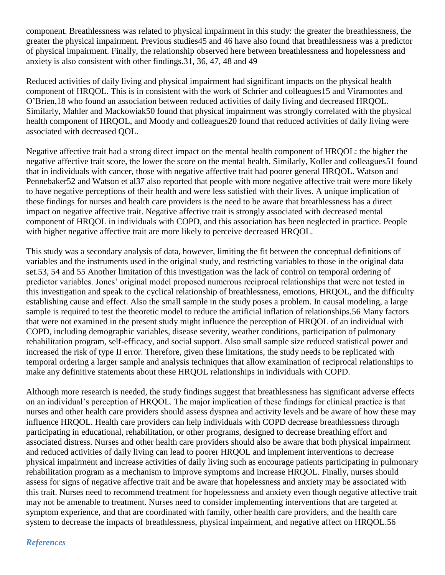component. Breathlessness was related to physical impairment in this study: the greater the breathlessness, the greater the physical impairment. Previous studie[s45](http://www.sciencedirect.com/science?_ob=ArticleURL&_udi=B6WG7-4HP9BHK-F&_user=628623&_coverDate=12%2F31%2F2005&_rdoc=13&_fmt=high&_orig=browse&_origin=browse&_zone=rslt_list_item&_srch=doc-info(%23toc%236815%232005%23999659993%23612538%23FLA%23display%23Volume)&_cdi=6815&_sort=d&_docanchor=&_ct=21&_acct=C000033084&_version=1&_urlVersion=0&_userid=628623&md5=6babb48336f03f5d3e8ca25184edc497&searchtype=a#bib45) and [46](http://www.sciencedirect.com/science?_ob=ArticleURL&_udi=B6WG7-4HP9BHK-F&_user=628623&_coverDate=12%2F31%2F2005&_rdoc=13&_fmt=high&_orig=browse&_origin=browse&_zone=rslt_list_item&_srch=doc-info(%23toc%236815%232005%23999659993%23612538%23FLA%23display%23Volume)&_cdi=6815&_sort=d&_docanchor=&_ct=21&_acct=C000033084&_version=1&_urlVersion=0&_userid=628623&md5=6babb48336f03f5d3e8ca25184edc497&searchtype=a#bib46) have also found that breathlessness was a predictor of physical impairment. Finally, the relationship observed here between breathlessness and hopelessness and anxiety is also consistent with other findings[.31,](http://www.sciencedirect.com/science?_ob=ArticleURL&_udi=B6WG7-4HP9BHK-F&_user=628623&_coverDate=12%2F31%2F2005&_rdoc=13&_fmt=high&_orig=browse&_origin=browse&_zone=rslt_list_item&_srch=doc-info(%23toc%236815%232005%23999659993%23612538%23FLA%23display%23Volume)&_cdi=6815&_sort=d&_docanchor=&_ct=21&_acct=C000033084&_version=1&_urlVersion=0&_userid=628623&md5=6babb48336f03f5d3e8ca25184edc497&searchtype=a#bib31) [36,](http://www.sciencedirect.com/science?_ob=ArticleURL&_udi=B6WG7-4HP9BHK-F&_user=628623&_coverDate=12%2F31%2F2005&_rdoc=13&_fmt=high&_orig=browse&_origin=browse&_zone=rslt_list_item&_srch=doc-info(%23toc%236815%232005%23999659993%23612538%23FLA%23display%23Volume)&_cdi=6815&_sort=d&_docanchor=&_ct=21&_acct=C000033084&_version=1&_urlVersion=0&_userid=628623&md5=6babb48336f03f5d3e8ca25184edc497&searchtype=a#bib36) [47,](http://www.sciencedirect.com/science?_ob=ArticleURL&_udi=B6WG7-4HP9BHK-F&_user=628623&_coverDate=12%2F31%2F2005&_rdoc=13&_fmt=high&_orig=browse&_origin=browse&_zone=rslt_list_item&_srch=doc-info(%23toc%236815%232005%23999659993%23612538%23FLA%23display%23Volume)&_cdi=6815&_sort=d&_docanchor=&_ct=21&_acct=C000033084&_version=1&_urlVersion=0&_userid=628623&md5=6babb48336f03f5d3e8ca25184edc497&searchtype=a#bib47) [48](http://www.sciencedirect.com/science?_ob=ArticleURL&_udi=B6WG7-4HP9BHK-F&_user=628623&_coverDate=12%2F31%2F2005&_rdoc=13&_fmt=high&_orig=browse&_origin=browse&_zone=rslt_list_item&_srch=doc-info(%23toc%236815%232005%23999659993%23612538%23FLA%23display%23Volume)&_cdi=6815&_sort=d&_docanchor=&_ct=21&_acct=C000033084&_version=1&_urlVersion=0&_userid=628623&md5=6babb48336f03f5d3e8ca25184edc497&searchtype=a#bib48) and [49](http://www.sciencedirect.com/science?_ob=ArticleURL&_udi=B6WG7-4HP9BHK-F&_user=628623&_coverDate=12%2F31%2F2005&_rdoc=13&_fmt=high&_orig=browse&_origin=browse&_zone=rslt_list_item&_srch=doc-info(%23toc%236815%232005%23999659993%23612538%23FLA%23display%23Volume)&_cdi=6815&_sort=d&_docanchor=&_ct=21&_acct=C000033084&_version=1&_urlVersion=0&_userid=628623&md5=6babb48336f03f5d3e8ca25184edc497&searchtype=a#bib49)

Reduced activities of daily living and physical impairment had significant impacts on the physical health component of HRQOL. This is in consistent with the work of Schrier and colleague[s15](http://www.sciencedirect.com/science?_ob=ArticleURL&_udi=B6WG7-4HP9BHK-F&_user=628623&_coverDate=12%2F31%2F2005&_rdoc=13&_fmt=high&_orig=browse&_origin=browse&_zone=rslt_list_item&_srch=doc-info(%23toc%236815%232005%23999659993%23612538%23FLA%23display%23Volume)&_cdi=6815&_sort=d&_docanchor=&_ct=21&_acct=C000033084&_version=1&_urlVersion=0&_userid=628623&md5=6babb48336f03f5d3e8ca25184edc497&searchtype=a#bib15) and Viramontes and O'Brien[,18](http://www.sciencedirect.com/science?_ob=ArticleURL&_udi=B6WG7-4HP9BHK-F&_user=628623&_coverDate=12%2F31%2F2005&_rdoc=13&_fmt=high&_orig=browse&_origin=browse&_zone=rslt_list_item&_srch=doc-info(%23toc%236815%232005%23999659993%23612538%23FLA%23display%23Volume)&_cdi=6815&_sort=d&_docanchor=&_ct=21&_acct=C000033084&_version=1&_urlVersion=0&_userid=628623&md5=6babb48336f03f5d3e8ca25184edc497&searchtype=a#bib18) who found an association between reduced activities of daily living and decreased HRQOL. Similarly, Mahler and Mackowia[k50](http://www.sciencedirect.com/science?_ob=ArticleURL&_udi=B6WG7-4HP9BHK-F&_user=628623&_coverDate=12%2F31%2F2005&_rdoc=13&_fmt=high&_orig=browse&_origin=browse&_zone=rslt_list_item&_srch=doc-info(%23toc%236815%232005%23999659993%23612538%23FLA%23display%23Volume)&_cdi=6815&_sort=d&_docanchor=&_ct=21&_acct=C000033084&_version=1&_urlVersion=0&_userid=628623&md5=6babb48336f03f5d3e8ca25184edc497&searchtype=a#bib50) found that physical impairment was strongly correlated with the physical health component of HRQOL, and Moody and colleague[s20](http://www.sciencedirect.com/science?_ob=ArticleURL&_udi=B6WG7-4HP9BHK-F&_user=628623&_coverDate=12%2F31%2F2005&_rdoc=13&_fmt=high&_orig=browse&_origin=browse&_zone=rslt_list_item&_srch=doc-info(%23toc%236815%232005%23999659993%23612538%23FLA%23display%23Volume)&_cdi=6815&_sort=d&_docanchor=&_ct=21&_acct=C000033084&_version=1&_urlVersion=0&_userid=628623&md5=6babb48336f03f5d3e8ca25184edc497&searchtype=a#bib20) found that reduced activities of daily living were associated with decreased QOL.

Negative affective trait had a strong direct impact on the mental health component of HRQOL: the higher the negative affective trait score, the lower the score on the mental health. Similarly, Koller and colleague[s51](http://www.sciencedirect.com/science?_ob=ArticleURL&_udi=B6WG7-4HP9BHK-F&_user=628623&_coverDate=12%2F31%2F2005&_rdoc=13&_fmt=high&_orig=browse&_origin=browse&_zone=rslt_list_item&_srch=doc-info(%23toc%236815%232005%23999659993%23612538%23FLA%23display%23Volume)&_cdi=6815&_sort=d&_docanchor=&_ct=21&_acct=C000033084&_version=1&_urlVersion=0&_userid=628623&md5=6babb48336f03f5d3e8ca25184edc497&searchtype=a#bib51) found that in individuals with cancer, those with negative affective trait had poorer general HRQOL. Watson and Pennebake[r52](http://www.sciencedirect.com/science?_ob=ArticleURL&_udi=B6WG7-4HP9BHK-F&_user=628623&_coverDate=12%2F31%2F2005&_rdoc=13&_fmt=high&_orig=browse&_origin=browse&_zone=rslt_list_item&_srch=doc-info(%23toc%236815%232005%23999659993%23612538%23FLA%23display%23Volume)&_cdi=6815&_sort=d&_docanchor=&_ct=21&_acct=C000033084&_version=1&_urlVersion=0&_userid=628623&md5=6babb48336f03f5d3e8ca25184edc497&searchtype=a#bib52) and Watson et a[l37](http://www.sciencedirect.com/science?_ob=ArticleURL&_udi=B6WG7-4HP9BHK-F&_user=628623&_coverDate=12%2F31%2F2005&_rdoc=13&_fmt=high&_orig=browse&_origin=browse&_zone=rslt_list_item&_srch=doc-info(%23toc%236815%232005%23999659993%23612538%23FLA%23display%23Volume)&_cdi=6815&_sort=d&_docanchor=&_ct=21&_acct=C000033084&_version=1&_urlVersion=0&_userid=628623&md5=6babb48336f03f5d3e8ca25184edc497&searchtype=a#bib37) also reported that people with more negative affective trait were more likely to have negative perceptions of their health and were less satisfied with their lives. A unique implication of these findings for nurses and health care providers is the need to be aware that breathlessness has a direct impact on negative affective trait. Negative affective trait is strongly associated with decreased mental component of HRQOL in individuals with COPD, and this association has been neglected in practice. People with higher negative affective trait are more likely to perceive decreased HRQOL.

This study was a secondary analysis of data, however, limiting the fit between the conceptual definitions of variables and the instruments used in the original study, and restricting variables to those in the original data set[.53,](http://www.sciencedirect.com/science?_ob=ArticleURL&_udi=B6WG7-4HP9BHK-F&_user=628623&_coverDate=12%2F31%2F2005&_rdoc=13&_fmt=high&_orig=browse&_origin=browse&_zone=rslt_list_item&_srch=doc-info(%23toc%236815%232005%23999659993%23612538%23FLA%23display%23Volume)&_cdi=6815&_sort=d&_docanchor=&_ct=21&_acct=C000033084&_version=1&_urlVersion=0&_userid=628623&md5=6babb48336f03f5d3e8ca25184edc497&searchtype=a#bib53) [54](http://www.sciencedirect.com/science?_ob=ArticleURL&_udi=B6WG7-4HP9BHK-F&_user=628623&_coverDate=12%2F31%2F2005&_rdoc=13&_fmt=high&_orig=browse&_origin=browse&_zone=rslt_list_item&_srch=doc-info(%23toc%236815%232005%23999659993%23612538%23FLA%23display%23Volume)&_cdi=6815&_sort=d&_docanchor=&_ct=21&_acct=C000033084&_version=1&_urlVersion=0&_userid=628623&md5=6babb48336f03f5d3e8ca25184edc497&searchtype=a#bib54) and [55](http://www.sciencedirect.com/science?_ob=ArticleURL&_udi=B6WG7-4HP9BHK-F&_user=628623&_coverDate=12%2F31%2F2005&_rdoc=13&_fmt=high&_orig=browse&_origin=browse&_zone=rslt_list_item&_srch=doc-info(%23toc%236815%232005%23999659993%23612538%23FLA%23display%23Volume)&_cdi=6815&_sort=d&_docanchor=&_ct=21&_acct=C000033084&_version=1&_urlVersion=0&_userid=628623&md5=6babb48336f03f5d3e8ca25184edc497&searchtype=a#bib55) Another limitation of this investigation was the lack of control on temporal ordering of predictor variables. Jones' original model proposed numerous reciprocal relationships that were not tested in this investigation and speak to the cyclical relationship of breathlessness, emotions, HRQOL, and the difficulty establishing cause and effect. Also the small sample in the study poses a problem. In causal modeling, a large sample is required to test the theoretic model to reduce the artificial inflation of relationships[.56](http://www.sciencedirect.com/science?_ob=ArticleURL&_udi=B6WG7-4HP9BHK-F&_user=628623&_coverDate=12%2F31%2F2005&_rdoc=13&_fmt=high&_orig=browse&_origin=browse&_zone=rslt_list_item&_srch=doc-info(%23toc%236815%232005%23999659993%23612538%23FLA%23display%23Volume)&_cdi=6815&_sort=d&_docanchor=&_ct=21&_acct=C000033084&_version=1&_urlVersion=0&_userid=628623&md5=6babb48336f03f5d3e8ca25184edc497&searchtype=a#bib56) Many factors that were not examined in the present study might influence the perception of HRQOL of an individual with COPD, including demographic variables, disease severity, weather conditions, participation of pulmonary rehabilitation program, self-efficacy, and social support. Also small sample size reduced statistical power and increased the risk of type II error. Therefore, given these limitations, the study needs to be replicated with temporal ordering a larger sample and analysis techniques that allow examination of reciprocal relationships to make any definitive statements about these HRQOL relationships in individuals with COPD.

Although more research is needed, the study findings suggest that breathlessness has significant adverse effects on an individual's perception of HRQOL. The major implication of these findings for clinical practice is that nurses and other health care providers should assess dyspnea and activity levels and be aware of how these may influence HRQOL. Health care providers can help individuals with COPD decrease breathlessness through participating in educational, rehabilitation, or other programs, designed to decrease breathing effort and associated distress. Nurses and other health care providers should also be aware that both physical impairment and reduced activities of daily living can lead to poorer HRQOL and implement interventions to decrease physical impairment and increase activities of daily living such as encourage patients participating in pulmonary rehabilitation program as a mechanism to improve symptoms and increase HRQOL. Finally, nurses should assess for signs of negative affective trait and be aware that hopelessness and anxiety may be associated with this trait. Nurses need to recommend treatment for hopelessness and anxiety even though negative affective trait may not be amenable to treatment. Nurses need to consider implementing interventions that are targeted at symptom experience, and that are coordinated with family, other health care providers, and the health care system to decrease the impacts of breathlessness, physical impairment, and negative affect on HRQOL[.56](http://www.sciencedirect.com/science?_ob=ArticleURL&_udi=B6WG7-4HP9BHK-F&_user=628623&_coverDate=12%2F31%2F2005&_rdoc=13&_fmt=high&_orig=browse&_origin=browse&_zone=rslt_list_item&_srch=doc-info(%23toc%236815%232005%23999659993%23612538%23FLA%23display%23Volume)&_cdi=6815&_sort=d&_docanchor=&_ct=21&_acct=C000033084&_version=1&_urlVersion=0&_userid=628623&md5=6babb48336f03f5d3e8ca25184edc497&searchtype=a#bib56)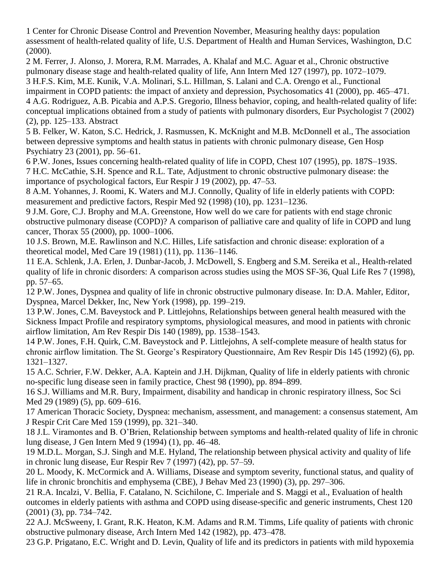[1](http://www.sciencedirect.com/science?_ob=ArticleURL&_udi=B6WG7-4HP9BHK-F&_user=628623&_coverDate=12%2F31%2F2005&_rdoc=13&_fmt=high&_orig=browse&_origin=browse&_zone=rslt_list_item&_srch=doc-info(%23toc%236815%232005%23999659993%23612538%23FLA%23display%23Volume)&_cdi=6815&_sort=d&_docanchor=&_ct=21&_acct=C000033084&_version=1&_urlVersion=0&_userid=628623&md5=6babb48336f03f5d3e8ca25184edc497&searchtype=a#bbib1) Center for Chronic Disease Control and Prevention November, Measuring healthy days: population assessment of health-related quality of life, U.S. Department of Health and Human Services, Washington, D.C (2000).

[2](http://www.sciencedirect.com/science?_ob=ArticleURL&_udi=B6WG7-4HP9BHK-F&_user=628623&_coverDate=12%2F31%2F2005&_rdoc=13&_fmt=high&_orig=browse&_origin=browse&_zone=rslt_list_item&_srch=doc-info(%23toc%236815%232005%23999659993%23612538%23FLA%23display%23Volume)&_cdi=6815&_sort=d&_docanchor=&_ct=21&_acct=C000033084&_version=1&_urlVersion=0&_userid=628623&md5=6babb48336f03f5d3e8ca25184edc497&searchtype=a#bbib2) M. Ferrer, J. Alonso, J. Morera, R.M. Marrades, A. Khalaf and M.C. Aguar et al., Chronic obstructive pulmonary disease stage and health-related quality of life, Ann Intern Med 127 (1997), pp. 1072–1079. [3](http://www.sciencedirect.com/science?_ob=ArticleURL&_udi=B6WG7-4HP9BHK-F&_user=628623&_coverDate=12%2F31%2F2005&_rdoc=13&_fmt=high&_orig=browse&_origin=browse&_zone=rslt_list_item&_srch=doc-info(%23toc%236815%232005%23999659993%23612538%23FLA%23display%23Volume)&_cdi=6815&_sort=d&_docanchor=&_ct=21&_acct=C000033084&_version=1&_urlVersion=0&_userid=628623&md5=6babb48336f03f5d3e8ca25184edc497&searchtype=a#bbib3) H.F.S. Kim, M.E. Kunik, V.A. Molinari, S.L. Hillman, S. Lalani and C.A. Orengo et al., Functional impairment in COPD patients: the impact of anxiety and depression, Psychosomatics 41 (2000), pp. 465–471.

[4](http://www.sciencedirect.com/science?_ob=ArticleURL&_udi=B6WG7-4HP9BHK-F&_user=628623&_coverDate=12%2F31%2F2005&_rdoc=13&_fmt=high&_orig=browse&_origin=browse&_zone=rslt_list_item&_srch=doc-info(%23toc%236815%232005%23999659993%23612538%23FLA%23display%23Volume)&_cdi=6815&_sort=d&_docanchor=&_ct=21&_acct=C000033084&_version=1&_urlVersion=0&_userid=628623&md5=6babb48336f03f5d3e8ca25184edc497&searchtype=a#bbib4) A.G. Rodriguez, A.B. Picabia and A.P.S. Gregorio, Illness behavior, coping, and health-related quality of life: conceptual implications obtained from a study of patients with pulmonary disorders, Eur Psychologist 7 (2002) (2), pp. 125–133. [Abstract](http://www.sciencedirect.com/science?_ob=ArticleURL&_udi=B6X0G-47GH93K-4&_user=628623&_coverDate=06%2F30%2F2002&_fmt=abstract&_orig=browse&_origin=browse&_cdi=7214&view=c&_acct=C000033084&_version=1&_urlVersion=0&_userid=628623&md5=a7b67c7f364b1005f405382a167106d4&ref=full)

[5](http://www.sciencedirect.com/science?_ob=ArticleURL&_udi=B6WG7-4HP9BHK-F&_user=628623&_coverDate=12%2F31%2F2005&_rdoc=13&_fmt=high&_orig=browse&_origin=browse&_zone=rslt_list_item&_srch=doc-info(%23toc%236815%232005%23999659993%23612538%23FLA%23display%23Volume)&_cdi=6815&_sort=d&_docanchor=&_ct=21&_acct=C000033084&_version=1&_urlVersion=0&_userid=628623&md5=6babb48336f03f5d3e8ca25184edc497&searchtype=a#bbib5) B. Felker, W. Katon, S.C. Hedrick, J. Rasmussen, K. McKnight and M.B. McDonnell et al., The association between depressive symptoms and health status in patients with chronic pulmonary disease, Gen Hosp Psychiatry 23 (2001), pp. 56–61.

[6](http://www.sciencedirect.com/science?_ob=ArticleURL&_udi=B6WG7-4HP9BHK-F&_user=628623&_coverDate=12%2F31%2F2005&_rdoc=13&_fmt=high&_orig=browse&_origin=browse&_zone=rslt_list_item&_srch=doc-info(%23toc%236815%232005%23999659993%23612538%23FLA%23display%23Volume)&_cdi=6815&_sort=d&_docanchor=&_ct=21&_acct=C000033084&_version=1&_urlVersion=0&_userid=628623&md5=6babb48336f03f5d3e8ca25184edc497&searchtype=a#bbib6) P.W. Jones, Issues concerning health-related quality of life in COPD, Chest 107 (1995), pp. 187S–193S. [7](http://www.sciencedirect.com/science?_ob=ArticleURL&_udi=B6WG7-4HP9BHK-F&_user=628623&_coverDate=12%2F31%2F2005&_rdoc=13&_fmt=high&_orig=browse&_origin=browse&_zone=rslt_list_item&_srch=doc-info(%23toc%236815%232005%23999659993%23612538%23FLA%23display%23Volume)&_cdi=6815&_sort=d&_docanchor=&_ct=21&_acct=C000033084&_version=1&_urlVersion=0&_userid=628623&md5=6babb48336f03f5d3e8ca25184edc497&searchtype=a#bbib7) H.C. McCathie, S.H. Spence and R.L. Tate, Adjustment to chronic obstructive pulmonary disease: the importance of psychological factors, Eur Respir J 19 (2002), pp. 47–53.

[8](http://www.sciencedirect.com/science?_ob=ArticleURL&_udi=B6WG7-4HP9BHK-F&_user=628623&_coverDate=12%2F31%2F2005&_rdoc=13&_fmt=high&_orig=browse&_origin=browse&_zone=rslt_list_item&_srch=doc-info(%23toc%236815%232005%23999659993%23612538%23FLA%23display%23Volume)&_cdi=6815&_sort=d&_docanchor=&_ct=21&_acct=C000033084&_version=1&_urlVersion=0&_userid=628623&md5=6babb48336f03f5d3e8ca25184edc497&searchtype=a#bbib8) A.M. Yohannes, J. Roomi, K. Waters and M.J. Connolly, Quality of life in elderly patients with COPD: measurement and predictive factors, Respir Med 92 (1998) (10), pp. 1231–1236.

[9](http://www.sciencedirect.com/science?_ob=ArticleURL&_udi=B6WG7-4HP9BHK-F&_user=628623&_coverDate=12%2F31%2F2005&_rdoc=13&_fmt=high&_orig=browse&_origin=browse&_zone=rslt_list_item&_srch=doc-info(%23toc%236815%232005%23999659993%23612538%23FLA%23display%23Volume)&_cdi=6815&_sort=d&_docanchor=&_ct=21&_acct=C000033084&_version=1&_urlVersion=0&_userid=628623&md5=6babb48336f03f5d3e8ca25184edc497&searchtype=a#bbib9) J.M. Gore, C.J. Brophy and M.A. Greenstone, How well do we care for patients with end stage chronic obstructive pulmonary disease (COPD)? A comparison of palliative care and quality of life in COPD and lung cancer, Thorax 55 (2000), pp. 1000–1006.

[10](http://www.sciencedirect.com/science?_ob=ArticleURL&_udi=B6WG7-4HP9BHK-F&_user=628623&_coverDate=12%2F31%2F2005&_rdoc=13&_fmt=high&_orig=browse&_origin=browse&_zone=rslt_list_item&_srch=doc-info(%23toc%236815%232005%23999659993%23612538%23FLA%23display%23Volume)&_cdi=6815&_sort=d&_docanchor=&_ct=21&_acct=C000033084&_version=1&_urlVersion=0&_userid=628623&md5=6babb48336f03f5d3e8ca25184edc497&searchtype=a#bbib10) J.S. Brown, M.E. Rawlinson and N.C. Hilles, Life satisfaction and chronic disease: exploration of a theoretical model, Med Care 19 (1981) (11), pp. 1136–1146.

[11](http://www.sciencedirect.com/science?_ob=ArticleURL&_udi=B6WG7-4HP9BHK-F&_user=628623&_coverDate=12%2F31%2F2005&_rdoc=13&_fmt=high&_orig=browse&_origin=browse&_zone=rslt_list_item&_srch=doc-info(%23toc%236815%232005%23999659993%23612538%23FLA%23display%23Volume)&_cdi=6815&_sort=d&_docanchor=&_ct=21&_acct=C000033084&_version=1&_urlVersion=0&_userid=628623&md5=6babb48336f03f5d3e8ca25184edc497&searchtype=a#bbib11) E.A. Schlenk, J.A. Erlen, J. Dunbar-Jacob, J. McDowell, S. Engberg and S.M. Sereika et al., Health-related quality of life in chronic disorders: A comparison across studies using the MOS SF-36, Qual Life Res 7 (1998), pp. 57–65.

[12](http://www.sciencedirect.com/science?_ob=ArticleURL&_udi=B6WG7-4HP9BHK-F&_user=628623&_coverDate=12%2F31%2F2005&_rdoc=13&_fmt=high&_orig=browse&_origin=browse&_zone=rslt_list_item&_srch=doc-info(%23toc%236815%232005%23999659993%23612538%23FLA%23display%23Volume)&_cdi=6815&_sort=d&_docanchor=&_ct=21&_acct=C000033084&_version=1&_urlVersion=0&_userid=628623&md5=6babb48336f03f5d3e8ca25184edc497&searchtype=a#bbib12) P.W. Jones, Dyspnea and quality of life in chronic obstructive pulmonary disease. In: D.A. Mahler, Editor, Dyspnea, Marcel Dekker, Inc, New York (1998), pp. 199–219.

[13](http://www.sciencedirect.com/science?_ob=ArticleURL&_udi=B6WG7-4HP9BHK-F&_user=628623&_coverDate=12%2F31%2F2005&_rdoc=13&_fmt=high&_orig=browse&_origin=browse&_zone=rslt_list_item&_srch=doc-info(%23toc%236815%232005%23999659993%23612538%23FLA%23display%23Volume)&_cdi=6815&_sort=d&_docanchor=&_ct=21&_acct=C000033084&_version=1&_urlVersion=0&_userid=628623&md5=6babb48336f03f5d3e8ca25184edc497&searchtype=a#bbib13) P.W. Jones, C.M. Baveystock and P. Littlejohns, Relationships between general health measured with the Sickness Impact Profile and respiratory symptoms, physiological measures, and mood in patients with chronic airflow limitation, Am Rev Respir Dis 140 (1989), pp. 1538–1543.

[14](http://www.sciencedirect.com/science?_ob=ArticleURL&_udi=B6WG7-4HP9BHK-F&_user=628623&_coverDate=12%2F31%2F2005&_rdoc=13&_fmt=high&_orig=browse&_origin=browse&_zone=rslt_list_item&_srch=doc-info(%23toc%236815%232005%23999659993%23612538%23FLA%23display%23Volume)&_cdi=6815&_sort=d&_docanchor=&_ct=21&_acct=C000033084&_version=1&_urlVersion=0&_userid=628623&md5=6babb48336f03f5d3e8ca25184edc497&searchtype=a#bbib14) P.W. Jones, F.H. Quirk, C.M. Baveystock and P. Littlejohns, A self-complete measure of health status for chronic airflow limitation. The St. George's Respiratory Questionnaire, Am Rev Respir Dis 145 (1992) (6), pp. 1321–1327.

[15](http://www.sciencedirect.com/science?_ob=ArticleURL&_udi=B6WG7-4HP9BHK-F&_user=628623&_coverDate=12%2F31%2F2005&_rdoc=13&_fmt=high&_orig=browse&_origin=browse&_zone=rslt_list_item&_srch=doc-info(%23toc%236815%232005%23999659993%23612538%23FLA%23display%23Volume)&_cdi=6815&_sort=d&_docanchor=&_ct=21&_acct=C000033084&_version=1&_urlVersion=0&_userid=628623&md5=6babb48336f03f5d3e8ca25184edc497&searchtype=a#bbib15) A.C. Schrier, F.W. Dekker, A.A. Kaptein and J.H. Dijkman, Quality of life in elderly patients with chronic no-specific lung disease seen in family practice, Chest 98 (1990), pp. 894–899.

[16](http://www.sciencedirect.com/science?_ob=ArticleURL&_udi=B6WG7-4HP9BHK-F&_user=628623&_coverDate=12%2F31%2F2005&_rdoc=13&_fmt=high&_orig=browse&_origin=browse&_zone=rslt_list_item&_srch=doc-info(%23toc%236815%232005%23999659993%23612538%23FLA%23display%23Volume)&_cdi=6815&_sort=d&_docanchor=&_ct=21&_acct=C000033084&_version=1&_urlVersion=0&_userid=628623&md5=6babb48336f03f5d3e8ca25184edc497&searchtype=a#bbib16) S.J. Williams and M.R. Bury, Impairment, disability and handicap in chronic respiratory illness, Soc Sci Med 29 (1989) (5), pp. 609–616.

[17](http://www.sciencedirect.com/science?_ob=ArticleURL&_udi=B6WG7-4HP9BHK-F&_user=628623&_coverDate=12%2F31%2F2005&_rdoc=13&_fmt=high&_orig=browse&_origin=browse&_zone=rslt_list_item&_srch=doc-info(%23toc%236815%232005%23999659993%23612538%23FLA%23display%23Volume)&_cdi=6815&_sort=d&_docanchor=&_ct=21&_acct=C000033084&_version=1&_urlVersion=0&_userid=628623&md5=6babb48336f03f5d3e8ca25184edc497&searchtype=a#bbib17) American Thoracic Society, Dyspnea: mechanism, assessment, and management: a consensus statement, Am J Respir Crit Care Med 159 (1999), pp. 321–340.

[18](http://www.sciencedirect.com/science?_ob=ArticleURL&_udi=B6WG7-4HP9BHK-F&_user=628623&_coverDate=12%2F31%2F2005&_rdoc=13&_fmt=high&_orig=browse&_origin=browse&_zone=rslt_list_item&_srch=doc-info(%23toc%236815%232005%23999659993%23612538%23FLA%23display%23Volume)&_cdi=6815&_sort=d&_docanchor=&_ct=21&_acct=C000033084&_version=1&_urlVersion=0&_userid=628623&md5=6babb48336f03f5d3e8ca25184edc497&searchtype=a#bbib18) J.L. Viramontes and B. O'Brien, Relationship between symptoms and health-related quality of life in chronic lung disease, J Gen Intern Med 9 (1994) (1), pp. 46–48.

[19](http://www.sciencedirect.com/science?_ob=ArticleURL&_udi=B6WG7-4HP9BHK-F&_user=628623&_coverDate=12%2F31%2F2005&_rdoc=13&_fmt=high&_orig=browse&_origin=browse&_zone=rslt_list_item&_srch=doc-info(%23toc%236815%232005%23999659993%23612538%23FLA%23display%23Volume)&_cdi=6815&_sort=d&_docanchor=&_ct=21&_acct=C000033084&_version=1&_urlVersion=0&_userid=628623&md5=6babb48336f03f5d3e8ca25184edc497&searchtype=a#bbib19) M.D.L. Morgan, S.J. Singh and M.E. Hyland, The relationship between physical activity and quality of life in chronic lung disease, Eur Respir Rev 7 (1997) (42), pp. 57–59.

[20](http://www.sciencedirect.com/science?_ob=ArticleURL&_udi=B6WG7-4HP9BHK-F&_user=628623&_coverDate=12%2F31%2F2005&_rdoc=13&_fmt=high&_orig=browse&_origin=browse&_zone=rslt_list_item&_srch=doc-info(%23toc%236815%232005%23999659993%23612538%23FLA%23display%23Volume)&_cdi=6815&_sort=d&_docanchor=&_ct=21&_acct=C000033084&_version=1&_urlVersion=0&_userid=628623&md5=6babb48336f03f5d3e8ca25184edc497&searchtype=a#bbib20) L. Moody, K. McCormick and A. Williams, Disease and symptom severity, functional status, and quality of life in chronic bronchitis and emphysema (CBE), J Behav Med 23 (1990) (3), pp. 297–306.

[21](http://www.sciencedirect.com/science?_ob=ArticleURL&_udi=B6WG7-4HP9BHK-F&_user=628623&_coverDate=12%2F31%2F2005&_rdoc=13&_fmt=high&_orig=browse&_origin=browse&_zone=rslt_list_item&_srch=doc-info(%23toc%236815%232005%23999659993%23612538%23FLA%23display%23Volume)&_cdi=6815&_sort=d&_docanchor=&_ct=21&_acct=C000033084&_version=1&_urlVersion=0&_userid=628623&md5=6babb48336f03f5d3e8ca25184edc497&searchtype=a#bbib21) R.A. Incalzi, V. Bellia, F. Catalano, N. Scichilone, C. Imperiale and S. Maggi et al., Evaluation of health outcomes in elderly patients with asthma and COPD using disease-specific and generic instruments, Chest 120 (2001) (3), pp. 734–742.

[22](http://www.sciencedirect.com/science?_ob=ArticleURL&_udi=B6WG7-4HP9BHK-F&_user=628623&_coverDate=12%2F31%2F2005&_rdoc=13&_fmt=high&_orig=browse&_origin=browse&_zone=rslt_list_item&_srch=doc-info(%23toc%236815%232005%23999659993%23612538%23FLA%23display%23Volume)&_cdi=6815&_sort=d&_docanchor=&_ct=21&_acct=C000033084&_version=1&_urlVersion=0&_userid=628623&md5=6babb48336f03f5d3e8ca25184edc497&searchtype=a#bbib22) A.J. McSweeny, I. Grant, R.K. Heaton, K.M. Adams and R.M. Timms, Life quality of patients with chronic obstructive pulmonary disease, Arch Intern Med 142 (1982), pp. 473–478.

[23](http://www.sciencedirect.com/science?_ob=ArticleURL&_udi=B6WG7-4HP9BHK-F&_user=628623&_coverDate=12%2F31%2F2005&_rdoc=13&_fmt=high&_orig=browse&_origin=browse&_zone=rslt_list_item&_srch=doc-info(%23toc%236815%232005%23999659993%23612538%23FLA%23display%23Volume)&_cdi=6815&_sort=d&_docanchor=&_ct=21&_acct=C000033084&_version=1&_urlVersion=0&_userid=628623&md5=6babb48336f03f5d3e8ca25184edc497&searchtype=a#bbib23) G.P. Prigatano, E.C. Wright and D. Levin, Quality of life and its predictors in patients with mild hypoxemia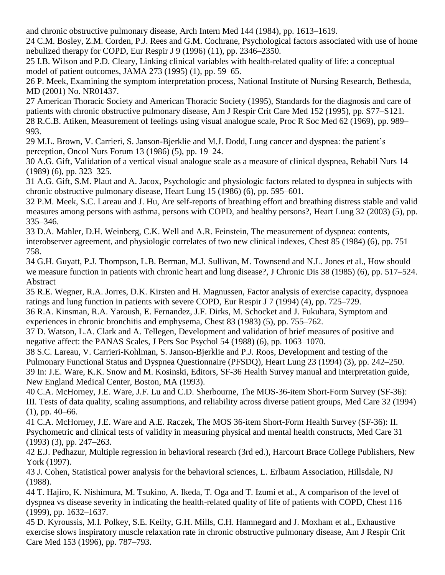and chronic obstructive pulmonary disease, Arch Intern Med 144 (1984), pp. 1613–1619.

[24](http://www.sciencedirect.com/science?_ob=ArticleURL&_udi=B6WG7-4HP9BHK-F&_user=628623&_coverDate=12%2F31%2F2005&_rdoc=13&_fmt=high&_orig=browse&_origin=browse&_zone=rslt_list_item&_srch=doc-info(%23toc%236815%232005%23999659993%23612538%23FLA%23display%23Volume)&_cdi=6815&_sort=d&_docanchor=&_ct=21&_acct=C000033084&_version=1&_urlVersion=0&_userid=628623&md5=6babb48336f03f5d3e8ca25184edc497&searchtype=a#bbib24) C.M. Bosley, Z.M. Corden, P.J. Rees and G.M. Cochrane, Psychological factors associated with use of home nebulized therapy for COPD, Eur Respir J 9 (1996) (11), pp. 2346–2350.

[25](http://www.sciencedirect.com/science?_ob=ArticleURL&_udi=B6WG7-4HP9BHK-F&_user=628623&_coverDate=12%2F31%2F2005&_rdoc=13&_fmt=high&_orig=browse&_origin=browse&_zone=rslt_list_item&_srch=doc-info(%23toc%236815%232005%23999659993%23612538%23FLA%23display%23Volume)&_cdi=6815&_sort=d&_docanchor=&_ct=21&_acct=C000033084&_version=1&_urlVersion=0&_userid=628623&md5=6babb48336f03f5d3e8ca25184edc497&searchtype=a#bbib25) I.B. Wilson and P.D. Cleary, Linking clinical variables with health-related quality of life: a conceptual model of patient outcomes, JAMA 273 (1995) (1), pp. 59–65.

[26](http://www.sciencedirect.com/science?_ob=ArticleURL&_udi=B6WG7-4HP9BHK-F&_user=628623&_coverDate=12%2F31%2F2005&_rdoc=13&_fmt=high&_orig=browse&_origin=browse&_zone=rslt_list_item&_srch=doc-info(%23toc%236815%232005%23999659993%23612538%23FLA%23display%23Volume)&_cdi=6815&_sort=d&_docanchor=&_ct=21&_acct=C000033084&_version=1&_urlVersion=0&_userid=628623&md5=6babb48336f03f5d3e8ca25184edc497&searchtype=a#bbib26) P. Meek, Examining the symptom interpretation process, National Institute of Nursing Research, Bethesda, MD (2001) No. NR01437.

[27](http://www.sciencedirect.com/science?_ob=ArticleURL&_udi=B6WG7-4HP9BHK-F&_user=628623&_coverDate=12%2F31%2F2005&_rdoc=13&_fmt=high&_orig=browse&_origin=browse&_zone=rslt_list_item&_srch=doc-info(%23toc%236815%232005%23999659993%23612538%23FLA%23display%23Volume)&_cdi=6815&_sort=d&_docanchor=&_ct=21&_acct=C000033084&_version=1&_urlVersion=0&_userid=628623&md5=6babb48336f03f5d3e8ca25184edc497&searchtype=a#bbib27) American Thoracic Society and American Thoracic Society (1995), Standards for the diagnosis and care of patients with chronic obstructive pulmonary disease, Am J Respir Crit Care Med 152 (1995), pp. S77–S121. [28](http://www.sciencedirect.com/science?_ob=ArticleURL&_udi=B6WG7-4HP9BHK-F&_user=628623&_coverDate=12%2F31%2F2005&_rdoc=13&_fmt=high&_orig=browse&_origin=browse&_zone=rslt_list_item&_srch=doc-info(%23toc%236815%232005%23999659993%23612538%23FLA%23display%23Volume)&_cdi=6815&_sort=d&_docanchor=&_ct=21&_acct=C000033084&_version=1&_urlVersion=0&_userid=628623&md5=6babb48336f03f5d3e8ca25184edc497&searchtype=a#bbib28) R.C.B. Atiken, Measurement of feelings using visual analogue scale, Proc R Soc Med 62 (1969), pp. 989– 993.

[29](http://www.sciencedirect.com/science?_ob=ArticleURL&_udi=B6WG7-4HP9BHK-F&_user=628623&_coverDate=12%2F31%2F2005&_rdoc=13&_fmt=high&_orig=browse&_origin=browse&_zone=rslt_list_item&_srch=doc-info(%23toc%236815%232005%23999659993%23612538%23FLA%23display%23Volume)&_cdi=6815&_sort=d&_docanchor=&_ct=21&_acct=C000033084&_version=1&_urlVersion=0&_userid=628623&md5=6babb48336f03f5d3e8ca25184edc497&searchtype=a#bbib29) M.L. Brown, V. Carrieri, S. Janson-Bjerklie and M.J. Dodd, Lung cancer and dyspnea: the patient's perception, Oncol Nurs Forum 13 (1986) (5), pp. 19–24.

[30](http://www.sciencedirect.com/science?_ob=ArticleURL&_udi=B6WG7-4HP9BHK-F&_user=628623&_coverDate=12%2F31%2F2005&_rdoc=13&_fmt=high&_orig=browse&_origin=browse&_zone=rslt_list_item&_srch=doc-info(%23toc%236815%232005%23999659993%23612538%23FLA%23display%23Volume)&_cdi=6815&_sort=d&_docanchor=&_ct=21&_acct=C000033084&_version=1&_urlVersion=0&_userid=628623&md5=6babb48336f03f5d3e8ca25184edc497&searchtype=a#bbib30) A.G. Gift, Validation of a vertical visual analogue scale as a measure of clinical dyspnea, Rehabil Nurs 14 (1989) (6), pp. 323–325.

[31](http://www.sciencedirect.com/science?_ob=ArticleURL&_udi=B6WG7-4HP9BHK-F&_user=628623&_coverDate=12%2F31%2F2005&_rdoc=13&_fmt=high&_orig=browse&_origin=browse&_zone=rslt_list_item&_srch=doc-info(%23toc%236815%232005%23999659993%23612538%23FLA%23display%23Volume)&_cdi=6815&_sort=d&_docanchor=&_ct=21&_acct=C000033084&_version=1&_urlVersion=0&_userid=628623&md5=6babb48336f03f5d3e8ca25184edc497&searchtype=a#bbib31) A.G. Gift, S.M. Plaut and A. Jacox, Psychologic and physiologic factors related to dyspnea in subjects with chronic obstructive pulmonary disease, Heart Lung 15 (1986) (6), pp. 595–601.

[32](http://www.sciencedirect.com/science?_ob=ArticleURL&_udi=B6WG7-4HP9BHK-F&_user=628623&_coverDate=12%2F31%2F2005&_rdoc=13&_fmt=high&_orig=browse&_origin=browse&_zone=rslt_list_item&_srch=doc-info(%23toc%236815%232005%23999659993%23612538%23FLA%23display%23Volume)&_cdi=6815&_sort=d&_docanchor=&_ct=21&_acct=C000033084&_version=1&_urlVersion=0&_userid=628623&md5=6babb48336f03f5d3e8ca25184edc497&searchtype=a#bbib32) P.M. Meek, S.C. Lareau and J. Hu, Are self-reports of breathing effort and breathing distress stable and valid measures among persons with asthma, persons with COPD, and healthy persons?, Heart Lung 32 (2003) (5), pp. 335–346.

[33](http://www.sciencedirect.com/science?_ob=ArticleURL&_udi=B6WG7-4HP9BHK-F&_user=628623&_coverDate=12%2F31%2F2005&_rdoc=13&_fmt=high&_orig=browse&_origin=browse&_zone=rslt_list_item&_srch=doc-info(%23toc%236815%232005%23999659993%23612538%23FLA%23display%23Volume)&_cdi=6815&_sort=d&_docanchor=&_ct=21&_acct=C000033084&_version=1&_urlVersion=0&_userid=628623&md5=6babb48336f03f5d3e8ca25184edc497&searchtype=a#bbib33) D.A. Mahler, D.H. Weinberg, C.K. Well and A.R. Feinstein, The measurement of dyspnea: contents, interobserver agreement, and physiologic correlates of two new clinical indexes, Chest 85 (1984) (6), pp. 751– 758.

[34](http://www.sciencedirect.com/science?_ob=ArticleURL&_udi=B6WG7-4HP9BHK-F&_user=628623&_coverDate=12%2F31%2F2005&_rdoc=13&_fmt=high&_orig=browse&_origin=browse&_zone=rslt_list_item&_srch=doc-info(%23toc%236815%232005%23999659993%23612538%23FLA%23display%23Volume)&_cdi=6815&_sort=d&_docanchor=&_ct=21&_acct=C000033084&_version=1&_urlVersion=0&_userid=628623&md5=6babb48336f03f5d3e8ca25184edc497&searchtype=a#bbib34) G.H. Guyatt, P.J. Thompson, L.B. Berman, M.J. Sullivan, M. Townsend and N.L. Jones et al., How should we measure function in patients with chronic heart and lung disease?, J Chronic Dis 38 (1985) (6), pp. 517–524. [Abstract](http://www.sciencedirect.com/science?_ob=ArticleURL&_udi=B7GH4-4C0MT0J-2B6&_user=628623&_coverDate=12%2F31%2F1985&_fmt=abstract&_orig=browse&_origin=browse&_cdi=20168&view=c&_acct=C000033084&_version=1&_urlVersion=0&_userid=628623&md5=063e1d77b3784872cbeef78fa17e050b&ref=full)

[35](http://www.sciencedirect.com/science?_ob=ArticleURL&_udi=B6WG7-4HP9BHK-F&_user=628623&_coverDate=12%2F31%2F2005&_rdoc=13&_fmt=high&_orig=browse&_origin=browse&_zone=rslt_list_item&_srch=doc-info(%23toc%236815%232005%23999659993%23612538%23FLA%23display%23Volume)&_cdi=6815&_sort=d&_docanchor=&_ct=21&_acct=C000033084&_version=1&_urlVersion=0&_userid=628623&md5=6babb48336f03f5d3e8ca25184edc497&searchtype=a#bbib35) R.E. Wegner, R.A. Jorres, D.K. Kirsten and H. Magnussen, Factor analysis of exercise capacity, dyspnoea ratings and lung function in patients with severe COPD, Eur Respir J 7 (1994) (4), pp. 725–729.

[36](http://www.sciencedirect.com/science?_ob=ArticleURL&_udi=B6WG7-4HP9BHK-F&_user=628623&_coverDate=12%2F31%2F2005&_rdoc=13&_fmt=high&_orig=browse&_origin=browse&_zone=rslt_list_item&_srch=doc-info(%23toc%236815%232005%23999659993%23612538%23FLA%23display%23Volume)&_cdi=6815&_sort=d&_docanchor=&_ct=21&_acct=C000033084&_version=1&_urlVersion=0&_userid=628623&md5=6babb48336f03f5d3e8ca25184edc497&searchtype=a#bbib36) R.A. Kinsman, R.A. Yaroush, E. Fernandez, J.F. Dirks, M. Schocket and J. Fukuhara, Symptom and experiences in chronic bronchitis and emphysema, Chest 83 (1983) (5), pp. 755–762.

[37](http://www.sciencedirect.com/science?_ob=ArticleURL&_udi=B6WG7-4HP9BHK-F&_user=628623&_coverDate=12%2F31%2F2005&_rdoc=13&_fmt=high&_orig=browse&_origin=browse&_zone=rslt_list_item&_srch=doc-info(%23toc%236815%232005%23999659993%23612538%23FLA%23display%23Volume)&_cdi=6815&_sort=d&_docanchor=&_ct=21&_acct=C000033084&_version=1&_urlVersion=0&_userid=628623&md5=6babb48336f03f5d3e8ca25184edc497&searchtype=a#bbib37) D. Watson, L.A. Clark and A. Tellegen, Development and validation of brief measures of positive and negative affect: the PANAS Scales, J Pers Soc Psychol 54 (1988) (6), pp. 1063–1070.

[38](http://www.sciencedirect.com/science?_ob=ArticleURL&_udi=B6WG7-4HP9BHK-F&_user=628623&_coverDate=12%2F31%2F2005&_rdoc=13&_fmt=high&_orig=browse&_origin=browse&_zone=rslt_list_item&_srch=doc-info(%23toc%236815%232005%23999659993%23612538%23FLA%23display%23Volume)&_cdi=6815&_sort=d&_docanchor=&_ct=21&_acct=C000033084&_version=1&_urlVersion=0&_userid=628623&md5=6babb48336f03f5d3e8ca25184edc497&searchtype=a#bbib38) S.C. Lareau, V. Carrieri-Kohlman, S. Janson-Bjerklie and P.J. Roos, Development and testing of the Pulmonary Functional Status and Dyspnea Questionnaire (PFSDQ), Heart Lung 23 (1994) (3), pp. 242–250. [39](http://www.sciencedirect.com/science?_ob=ArticleURL&_udi=B6WG7-4HP9BHK-F&_user=628623&_coverDate=12%2F31%2F2005&_rdoc=13&_fmt=high&_orig=browse&_origin=browse&_zone=rslt_list_item&_srch=doc-info(%23toc%236815%232005%23999659993%23612538%23FLA%23display%23Volume)&_cdi=6815&_sort=d&_docanchor=&_ct=21&_acct=C000033084&_version=1&_urlVersion=0&_userid=628623&md5=6babb48336f03f5d3e8ca25184edc497&searchtype=a#bbib39) In: J.E. Ware, K.K. Snow and M. Kosinski, Editors, SF-36 Health Survey manual and interpretation guide, New England Medical Center, Boston, MA (1993).

[40](http://www.sciencedirect.com/science?_ob=ArticleURL&_udi=B6WG7-4HP9BHK-F&_user=628623&_coverDate=12%2F31%2F2005&_rdoc=13&_fmt=high&_orig=browse&_origin=browse&_zone=rslt_list_item&_srch=doc-info(%23toc%236815%232005%23999659993%23612538%23FLA%23display%23Volume)&_cdi=6815&_sort=d&_docanchor=&_ct=21&_acct=C000033084&_version=1&_urlVersion=0&_userid=628623&md5=6babb48336f03f5d3e8ca25184edc497&searchtype=a#bbib40) C.A. McHorney, J.E. Ware, J.F. Lu and C.D. Sherbourne, The MOS-36-item Short-Form Survey (SF-36): III. Tests of data quality, scaling assumptions, and reliability across diverse patient groups, Med Care 32 (1994) (1), pp. 40–66.

[41](http://www.sciencedirect.com/science?_ob=ArticleURL&_udi=B6WG7-4HP9BHK-F&_user=628623&_coverDate=12%2F31%2F2005&_rdoc=13&_fmt=high&_orig=browse&_origin=browse&_zone=rslt_list_item&_srch=doc-info(%23toc%236815%232005%23999659993%23612538%23FLA%23display%23Volume)&_cdi=6815&_sort=d&_docanchor=&_ct=21&_acct=C000033084&_version=1&_urlVersion=0&_userid=628623&md5=6babb48336f03f5d3e8ca25184edc497&searchtype=a#bbib41) C.A. McHorney, J.E. Ware and A.E. Raczek, The MOS 36-item Short-Form Health Survey (SF-36): II. Psychometric and clinical tests of validity in measuring physical and mental health constructs, Med Care 31 (1993) (3), pp. 247–263.

[42](http://www.sciencedirect.com/science?_ob=ArticleURL&_udi=B6WG7-4HP9BHK-F&_user=628623&_coverDate=12%2F31%2F2005&_rdoc=13&_fmt=high&_orig=browse&_origin=browse&_zone=rslt_list_item&_srch=doc-info(%23toc%236815%232005%23999659993%23612538%23FLA%23display%23Volume)&_cdi=6815&_sort=d&_docanchor=&_ct=21&_acct=C000033084&_version=1&_urlVersion=0&_userid=628623&md5=6babb48336f03f5d3e8ca25184edc497&searchtype=a#bbib42) E.J. Pedhazur, Multiple regression in behavioral research (3rd ed.), Harcourt Brace College Publishers, New York (1997).

[43](http://www.sciencedirect.com/science?_ob=ArticleURL&_udi=B6WG7-4HP9BHK-F&_user=628623&_coverDate=12%2F31%2F2005&_rdoc=13&_fmt=high&_orig=browse&_origin=browse&_zone=rslt_list_item&_srch=doc-info(%23toc%236815%232005%23999659993%23612538%23FLA%23display%23Volume)&_cdi=6815&_sort=d&_docanchor=&_ct=21&_acct=C000033084&_version=1&_urlVersion=0&_userid=628623&md5=6babb48336f03f5d3e8ca25184edc497&searchtype=a#bbib43) J. Cohen, Statistical power analysis for the behavioral sciences, L. Erlbaum Association, Hillsdale, NJ (1988).

[44](http://www.sciencedirect.com/science?_ob=ArticleURL&_udi=B6WG7-4HP9BHK-F&_user=628623&_coverDate=12%2F31%2F2005&_rdoc=13&_fmt=high&_orig=browse&_origin=browse&_zone=rslt_list_item&_srch=doc-info(%23toc%236815%232005%23999659993%23612538%23FLA%23display%23Volume)&_cdi=6815&_sort=d&_docanchor=&_ct=21&_acct=C000033084&_version=1&_urlVersion=0&_userid=628623&md5=6babb48336f03f5d3e8ca25184edc497&searchtype=a#bbib44) T. Hajiro, K. Nishimura, M. Tsukino, A. Ikeda, T. Oga and T. Izumi et al., A comparison of the level of dyspnea vs disease severity in indicating the health-related quality of life of patients with COPD, Chest 116 (1999), pp. 1632–1637.

[45](http://www.sciencedirect.com/science?_ob=ArticleURL&_udi=B6WG7-4HP9BHK-F&_user=628623&_coverDate=12%2F31%2F2005&_rdoc=13&_fmt=high&_orig=browse&_origin=browse&_zone=rslt_list_item&_srch=doc-info(%23toc%236815%232005%23999659993%23612538%23FLA%23display%23Volume)&_cdi=6815&_sort=d&_docanchor=&_ct=21&_acct=C000033084&_version=1&_urlVersion=0&_userid=628623&md5=6babb48336f03f5d3e8ca25184edc497&searchtype=a#bbib45) D. Kyroussis, M.I. Polkey, S.E. Keilty, G.H. Mills, C.H. Hamnegard and J. Moxham et al., Exhaustive exercise slows inspiratory muscle relaxation rate in chronic obstructive pulmonary disease, Am J Respir Crit Care Med 153 (1996), pp. 787–793.